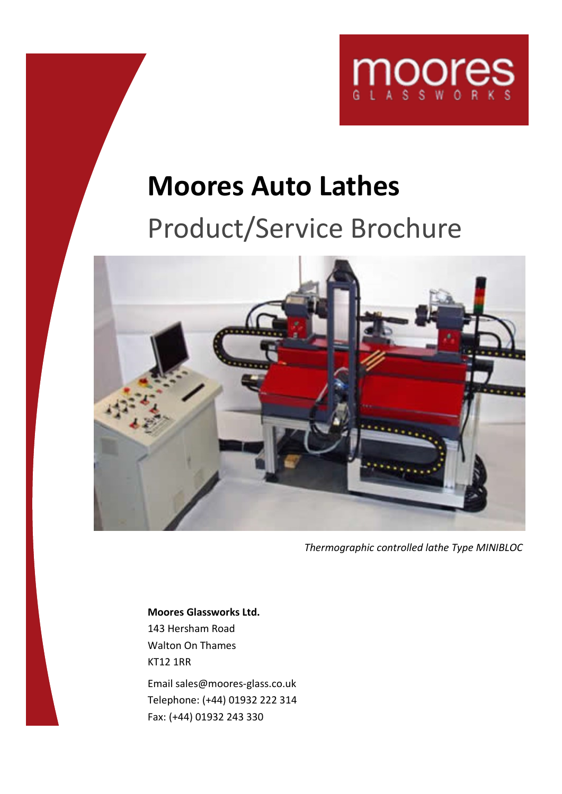

# **Moores Auto Lathes**

## Product/Service Brochure



*Thermographic controlled lathe Type MINIBLOC*

**Moores Glassworks Ltd.** 143 Hersham Road Walton On Thames KT12 1RR Email sales@moores-glass.co.uk

Telephone: (+44) 01932 222 314 Fax: (+44) 01932 243 330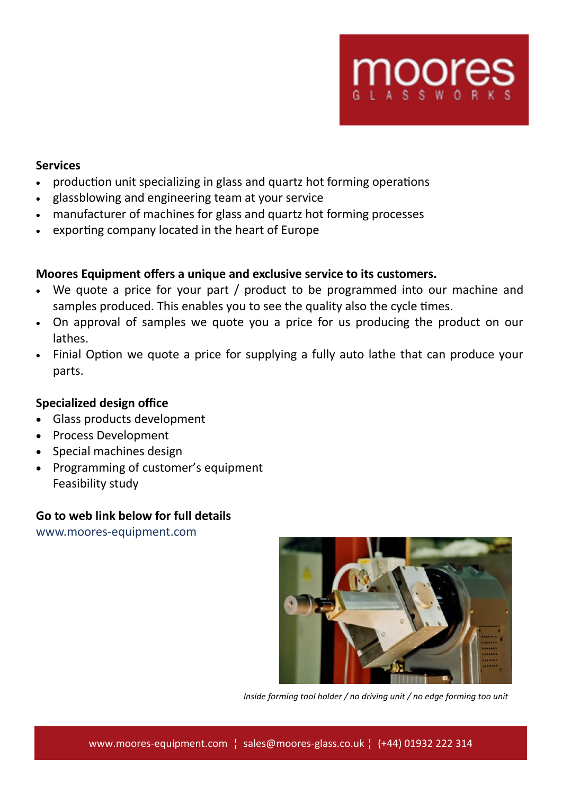

## **Services**

- production unit specializing in glass and quartz hot forming operations
- glassblowing and engineering team at your service
- manufacturer of machines for glass and quartz hot forming processes
- exporting company located in the heart of Europe

## **Moores Equipment offers a unique and exclusive service to its customers.**

- We quote a price for your part / product to be programmed into our machine and samples produced. This enables you to see the quality also the cycle times.
- On approval of samples we quote you a price for us producing the product on our lathes.
- Finial Option we quote a price for supplying a fully auto lathe that can produce your parts.

## **Specialized design office**

- Glass products development
- Process Development
- Special machines design
- Programming of customer's equipment Feasibility study

## **Go to web link below for full details**

www.moores-equipment.com



*Inside forming tool holder / no driving unit / no edge forming too unit*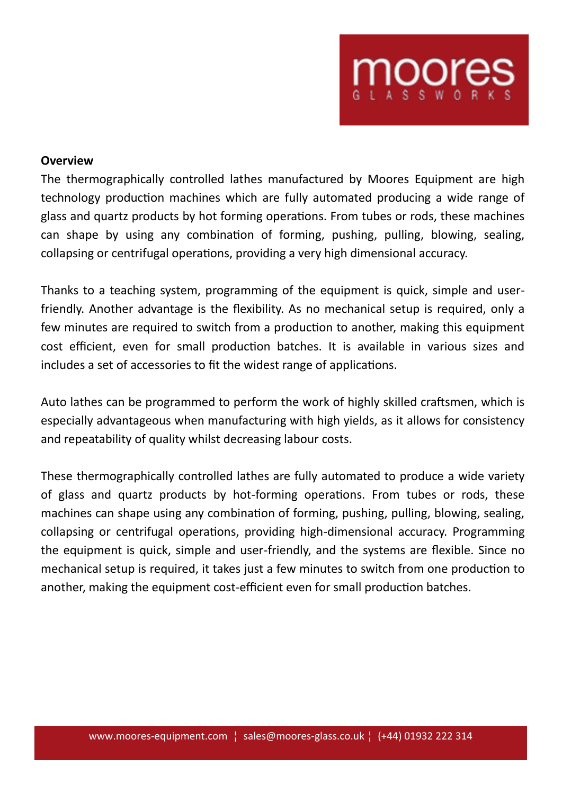

## **Overview**

The thermographically controlled lathes manufactured by Moores Equipment are high technology production machines which are fully automated producing a wide range of glass and quartz products by hot forming operations. From tubes or rods, these machines can shape by using any combination of forming, pushing, pulling, blowing, sealing, collapsing or centrifugal operations, providing a very high dimensional accuracy.

Thanks to a teaching system, programming of the equipment is quick, simple and userfriendly. Another advantage is the flexibility. As no mechanical setup is required, only a few minutes are required to switch from a production to another, making this equipment cost efficient, even for small production batches. It is available in various sizes and includes a set of accessories to fit the widest range of applications.

Auto lathes can be programmed to perform the work of highly skilled craftsmen, which is especially advantageous when manufacturing with high yields, as it allows for consistency and repeatability of quality whilst decreasing labour costs.

These thermographically controlled lathes are fully automated to produce a wide variety of glass and quartz products by hot-forming operations. From tubes or rods, these machines can shape using any combination of forming, pushing, pulling, blowing, sealing, collapsing or centrifugal operations, providing high-dimensional accuracy. Programming the equipment is quick, simple and user-friendly, and the systems are flexible. Since no mechanical setup is required, it takes just a few minutes to switch from one production to another, making the equipment cost-efficient even for small production batches.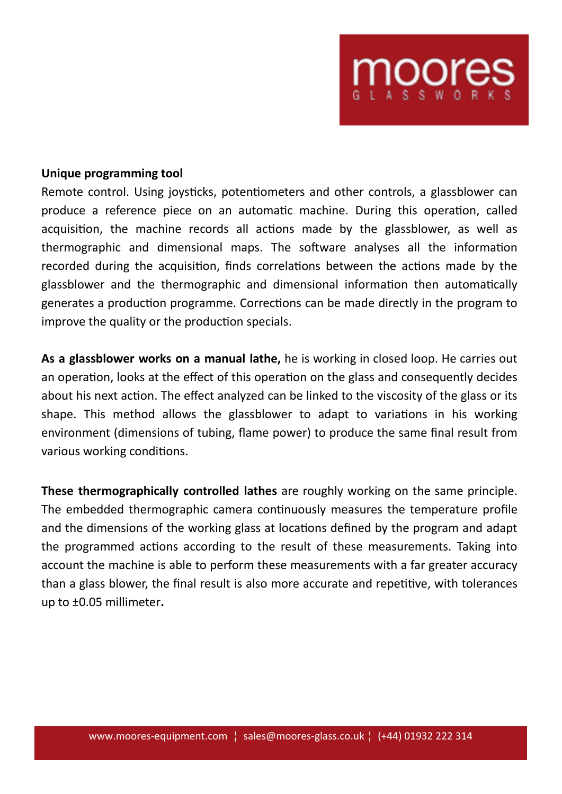

#### **Unique programming tool**

Remote control. Using joysticks, potentiometers and other controls, a glassblower can produce a reference piece on an automatic machine. During this operation, called acquisition, the machine records all actions made by the glassblower, as well as thermographic and dimensional maps. The software analyses all the information recorded during the acquisition, finds correlations between the actions made by the glassblower and the thermographic and dimensional information then automatically generates a production programme. Corrections can be made directly in the program to improve the quality or the production specials.

**As a glassblower works on a manual lathe,** he is working in closed loop. He carries out an operation, looks at the effect of this operation on the glass and consequently decides about his next action. The effect analyzed can be linked to the viscosity of the glass or its shape. This method allows the glassblower to adapt to variations in his working environment (dimensions of tubing, flame power) to produce the same final result from various working conditions.

**These thermographically controlled lathes** are roughly working on the same principle. The embedded thermographic camera continuously measures the temperature profile and the dimensions of the working glass at locations defined by the program and adapt the programmed actions according to the result of these measurements. Taking into account the machine is able to perform these measurements with a far greater accuracy than a glass blower, the final result is also more accurate and repetitive, with tolerances up to ±0.05 millimeter**.**